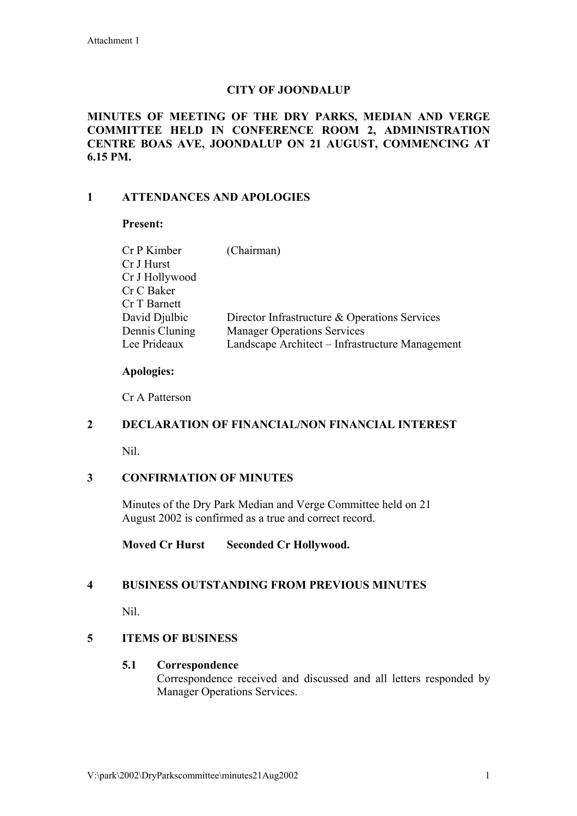# **CITY OF JOONDALUP**

#### **MINUTES OF MEETING OF THE DRY PARKS, MEDIAN AND VERGE COMMITTEE HELD IN CONFERENCE ROOM 2, ADMINISTRATION CENTRE BOAS AVE, JOONDALUP ON 21 AUGUST, COMMENCING AT 6.15 PM.**

## **1 ATTENDANCES AND APOLOGIES**

### **Present:**

| Cr P Kimber    | (Chairman)                                      |
|----------------|-------------------------------------------------|
| Cr J Hurst     |                                                 |
| Cr J Hollywood |                                                 |
| Cr C Baker     |                                                 |
| Cr T Barnett   |                                                 |
| David Djulbic  | Director Infrastructure & Operations Services   |
| Dennis Cluning | <b>Manager Operations Services</b>              |
| Lee Prideaux   | Landscape Architect - Infrastructure Management |
|                |                                                 |

#### **Apologies:**

Cr A Patterson

#### **2 DECLARATION OF FINANCIAL/NON FINANCIAL INTEREST**

Nil.

## **3 CONFIRMATION OF MINUTES**

Minutes of the Dry Park Median and Verge Committee held on 21 August 2002 is confirmed as a true and correct record.

## **Moved Cr Hurst Seconded Cr Hollywood.**

## **4 BUSINESS OUTSTANDING FROM PREVIOUS MINUTES**

Nil.

## **5 ITEMS OF BUSINESS**

#### **5.1 Correspondence**

Correspondence received and discussed and all letters responded by Manager Operations Services.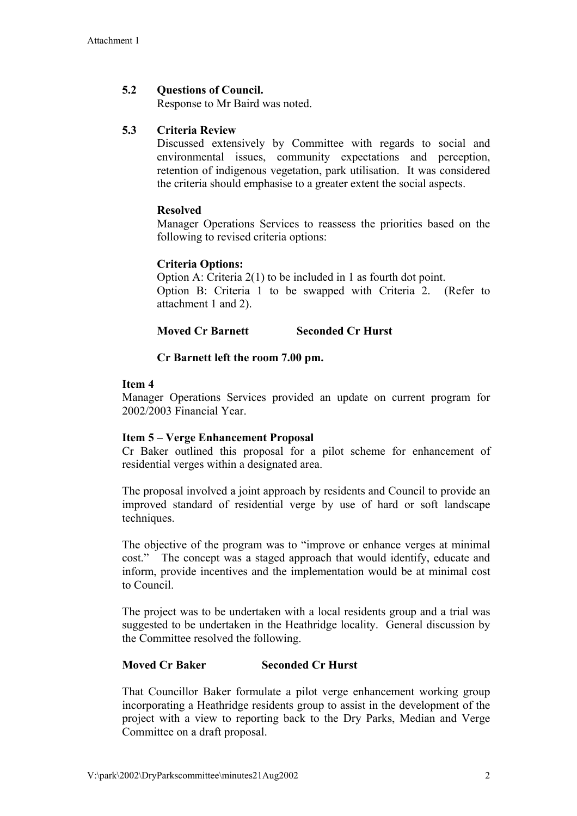# **5.2 Questions of Council.**

Response to Mr Baird was noted.

# **5.3 Criteria Review**

Discussed extensively by Committee with regards to social and environmental issues, community expectations and perception, retention of indigenous vegetation, park utilisation. It was considered the criteria should emphasise to a greater extent the social aspects.

## **Resolved**

Manager Operations Services to reassess the priorities based on the following to revised criteria options:

### **Criteria Options:**

Option A: Criteria 2(1) to be included in 1 as fourth dot point. Option B: Criteria 1 to be swapped with Criteria 2. (Refer to attachment 1 and 2).

## **Moved Cr Barnett Seconded Cr Hurst**

## **Cr Barnett left the room 7.00 pm.**

### **Item 4**

Manager Operations Services provided an update on current program for 2002/2003 Financial Year.

#### **Item 5 – Verge Enhancement Proposal**

Cr Baker outlined this proposal for a pilot scheme for enhancement of residential verges within a designated area.

The proposal involved a joint approach by residents and Council to provide an improved standard of residential verge by use of hard or soft landscape techniques.

The objective of the program was to "improve or enhance verges at minimal cost." The concept was a staged approach that would identify, educate and inform, provide incentives and the implementation would be at minimal cost to Council.

The project was to be undertaken with a local residents group and a trial was suggested to be undertaken in the Heathridge locality. General discussion by the Committee resolved the following.

## **Moved Cr Baker Seconded Cr Hurst**

That Councillor Baker formulate a pilot verge enhancement working group incorporating a Heathridge residents group to assist in the development of the project with a view to reporting back to the Dry Parks, Median and Verge Committee on a draft proposal.